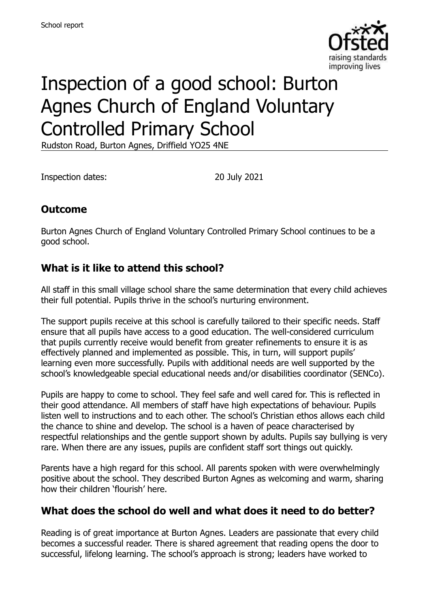

# Inspection of a good school: Burton Agnes Church of England Voluntary Controlled Primary School

Rudston Road, Burton Agnes, Driffield YO25 4NE

Inspection dates: 20 July 2021

# **Outcome**

Burton Agnes Church of England Voluntary Controlled Primary School continues to be a good school.

## **What is it like to attend this school?**

All staff in this small village school share the same determination that every child achieves their full potential. Pupils thrive in the school's nurturing environment.

The support pupils receive at this school is carefully tailored to their specific needs. Staff ensure that all pupils have access to a good education. The well-considered curriculum that pupils currently receive would benefit from greater refinements to ensure it is as effectively planned and implemented as possible. This, in turn, will support pupils' learning even more successfully. Pupils with additional needs are well supported by the school's knowledgeable special educational needs and/or disabilities coordinator (SENCo).

Pupils are happy to come to school. They feel safe and well cared for. This is reflected in their good attendance. All members of staff have high expectations of behaviour. Pupils listen well to instructions and to each other. The school's Christian ethos allows each child the chance to shine and develop. The school is a haven of peace characterised by respectful relationships and the gentle support shown by adults. Pupils say bullying is very rare. When there are any issues, pupils are confident staff sort things out quickly.

Parents have a high regard for this school. All parents spoken with were overwhelmingly positive about the school. They described Burton Agnes as welcoming and warm, sharing how their children 'flourish' here.

# **What does the school do well and what does it need to do better?**

Reading is of great importance at Burton Agnes. Leaders are passionate that every child becomes a successful reader. There is shared agreement that reading opens the door to successful, lifelong learning. The school's approach is strong; leaders have worked to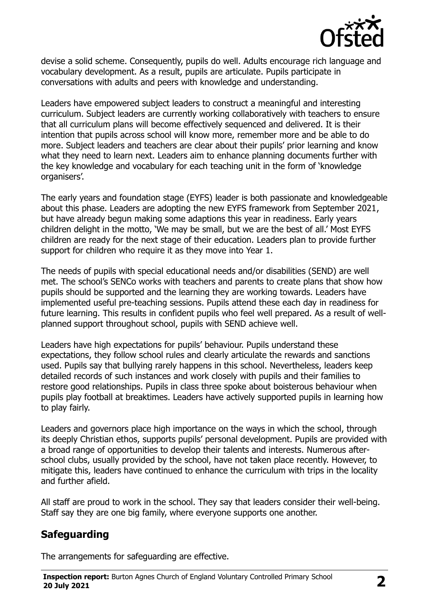

devise a solid scheme. Consequently, pupils do well. Adults encourage rich language and vocabulary development. As a result, pupils are articulate. Pupils participate in conversations with adults and peers with knowledge and understanding.

Leaders have empowered subject leaders to construct a meaningful and interesting curriculum. Subject leaders are currently working collaboratively with teachers to ensure that all curriculum plans will become effectively sequenced and delivered. It is their intention that pupils across school will know more, remember more and be able to do more. Subject leaders and teachers are clear about their pupils' prior learning and know what they need to learn next. Leaders aim to enhance planning documents further with the key knowledge and vocabulary for each teaching unit in the form of 'knowledge organisers'.

The early years and foundation stage (EYFS) leader is both passionate and knowledgeable about this phase. Leaders are adopting the new EYFS framework from September 2021, but have already begun making some adaptions this year in readiness. Early years children delight in the motto, 'We may be small, but we are the best of all.' Most EYFS children are ready for the next stage of their education. Leaders plan to provide further support for children who require it as they move into Year 1.

The needs of pupils with special educational needs and/or disabilities (SEND) are well met. The school's SENCo works with teachers and parents to create plans that show how pupils should be supported and the learning they are working towards. Leaders have implemented useful pre-teaching sessions. Pupils attend these each day in readiness for future learning. This results in confident pupils who feel well prepared. As a result of wellplanned support throughout school, pupils with SEND achieve well.

Leaders have high expectations for pupils' behaviour. Pupils understand these expectations, they follow school rules and clearly articulate the rewards and sanctions used. Pupils say that bullying rarely happens in this school. Nevertheless, leaders keep detailed records of such instances and work closely with pupils and their families to restore good relationships. Pupils in class three spoke about boisterous behaviour when pupils play football at breaktimes. Leaders have actively supported pupils in learning how to play fairly.

Leaders and governors place high importance on the ways in which the school, through its deeply Christian ethos, supports pupils' personal development. Pupils are provided with a broad range of opportunities to develop their talents and interests. Numerous afterschool clubs, usually provided by the school, have not taken place recently. However, to mitigate this, leaders have continued to enhance the curriculum with trips in the locality and further afield.

All staff are proud to work in the school. They say that leaders consider their well-being. Staff say they are one big family, where everyone supports one another.

# **Safeguarding**

The arrangements for safeguarding are effective.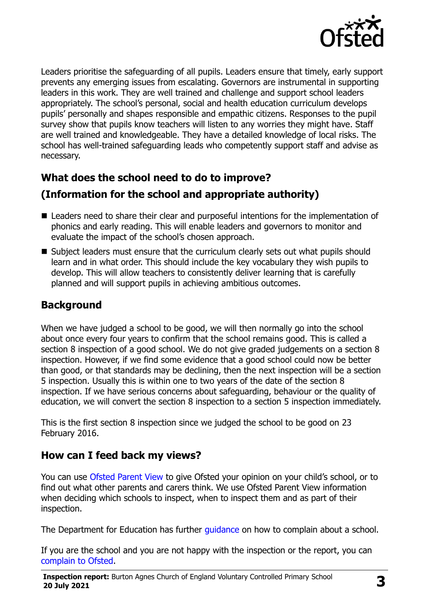

Leaders prioritise the safeguarding of all pupils. Leaders ensure that timely, early support prevents any emerging issues from escalating. Governors are instrumental in supporting leaders in this work. They are well trained and challenge and support school leaders appropriately. The school's personal, social and health education curriculum develops pupils' personally and shapes responsible and empathic citizens. Responses to the pupil survey show that pupils know teachers will listen to any worries they might have. Staff are well trained and knowledgeable. They have a detailed knowledge of local risks. The school has well-trained safeguarding leads who competently support staff and advise as necessary.

# **What does the school need to do to improve?**

# **(Information for the school and appropriate authority)**

- Leaders need to share their clear and purposeful intentions for the implementation of phonics and early reading. This will enable leaders and governors to monitor and evaluate the impact of the school's chosen approach.
- Subject leaders must ensure that the curriculum clearly sets out what pupils should learn and in what order. This should include the key vocabulary they wish pupils to develop. This will allow teachers to consistently deliver learning that is carefully planned and will support pupils in achieving ambitious outcomes.

# **Background**

When we have judged a school to be good, we will then normally go into the school about once every four years to confirm that the school remains good. This is called a section 8 inspection of a good school. We do not give graded judgements on a section 8 inspection. However, if we find some evidence that a good school could now be better than good, or that standards may be declining, then the next inspection will be a section 5 inspection. Usually this is within one to two years of the date of the section 8 inspection. If we have serious concerns about safeguarding, behaviour or the quality of education, we will convert the section 8 inspection to a section 5 inspection immediately.

This is the first section 8 inspection since we judged the school to be good on 23 February 2016.

# **How can I feed back my views?**

You can use [Ofsted Parent View](https://parentview.ofsted.gov.uk/) to give Ofsted your opinion on your child's school, or to find out what other parents and carers think. We use Ofsted Parent View information when deciding which schools to inspect, when to inspect them and as part of their inspection.

The Department for Education has further quidance on how to complain about a school.

If you are the school and you are not happy with the inspection or the report, you can [complain to Ofsted.](https://www.gov.uk/complain-ofsted-report)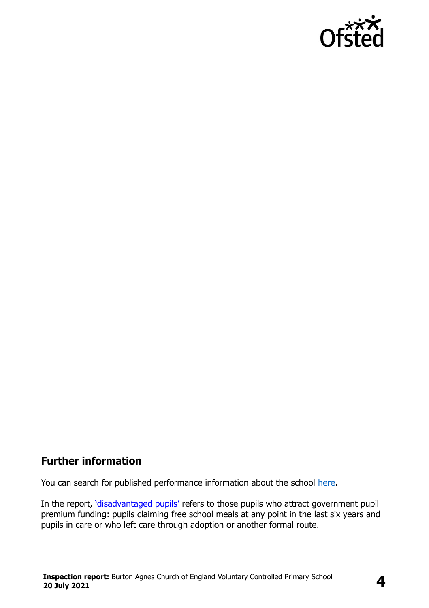

#### **Further information**

You can search for published performance information about the school [here.](http://www.compare-school-performance.service.gov.uk/)

In the report, '[disadvantaged pupils](http://www.gov.uk/guidance/pupil-premium-information-for-schools-and-alternative-provision-settings)' refers to those pupils who attract government pupil premium funding: pupils claiming free school meals at any point in the last six years and pupils in care or who left care through adoption or another formal route.

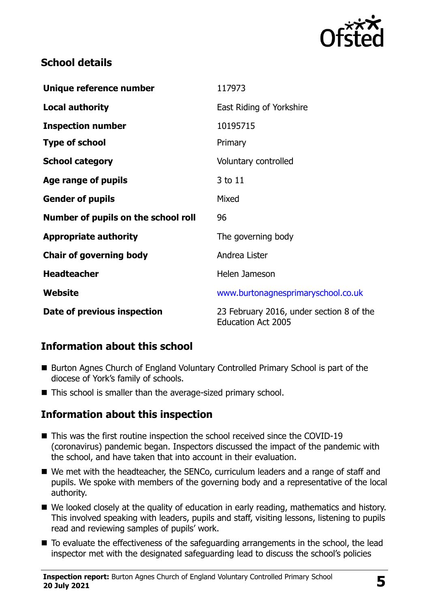

## **School details**

| Unique reference number             | 117973                                                                |
|-------------------------------------|-----------------------------------------------------------------------|
| <b>Local authority</b>              | East Riding of Yorkshire                                              |
| <b>Inspection number</b>            | 10195715                                                              |
| <b>Type of school</b>               | Primary                                                               |
| <b>School category</b>              | Voluntary controlled                                                  |
| Age range of pupils                 | 3 to 11                                                               |
| <b>Gender of pupils</b>             | Mixed                                                                 |
| Number of pupils on the school roll | 96                                                                    |
| <b>Appropriate authority</b>        | The governing body                                                    |
| <b>Chair of governing body</b>      | Andrea Lister                                                         |
| <b>Headteacher</b>                  | Helen Jameson                                                         |
| Website                             | www.burtonagnesprimaryschool.co.uk                                    |
| Date of previous inspection         | 23 February 2016, under section 8 of the<br><b>Education Act 2005</b> |

# **Information about this school**

- Burton Agnes Church of England Voluntary Controlled Primary School is part of the diocese of York's family of schools.
- This school is smaller than the average-sized primary school.

# **Information about this inspection**

- This was the first routine inspection the school received since the COVID-19 (coronavirus) pandemic began. Inspectors discussed the impact of the pandemic with the school, and have taken that into account in their evaluation.
- We met with the headteacher, the SENCo, curriculum leaders and a range of staff and pupils. We spoke with members of the governing body and a representative of the local authority.
- We looked closely at the quality of education in early reading, mathematics and history. This involved speaking with leaders, pupils and staff, visiting lessons, listening to pupils read and reviewing samples of pupils' work.
- To evaluate the effectiveness of the safeguarding arrangements in the school, the lead inspector met with the designated safeguarding lead to discuss the school's policies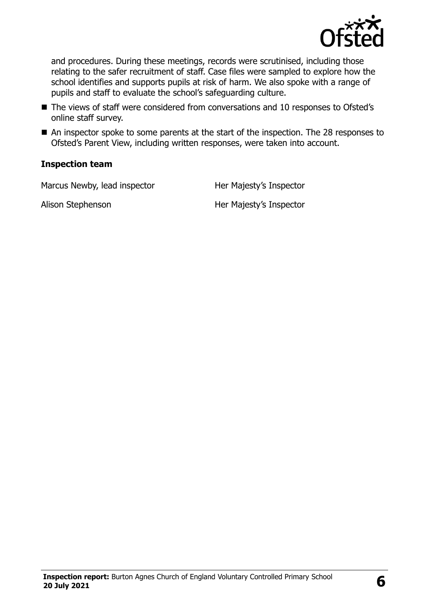

and procedures. During these meetings, records were scrutinised, including those relating to the safer recruitment of staff. Case files were sampled to explore how the school identifies and supports pupils at risk of harm. We also spoke with a range of pupils and staff to evaluate the school's safeguarding culture.

- The views of staff were considered from conversations and 10 responses to Ofsted's online staff survey.
- An inspector spoke to some parents at the start of the inspection. The 28 responses to Ofsted's Parent View, including written responses, were taken into account.

#### **Inspection team**

Marcus Newby, lead inspector Her Majesty's Inspector

Alison Stephenson Her Majesty's Inspector